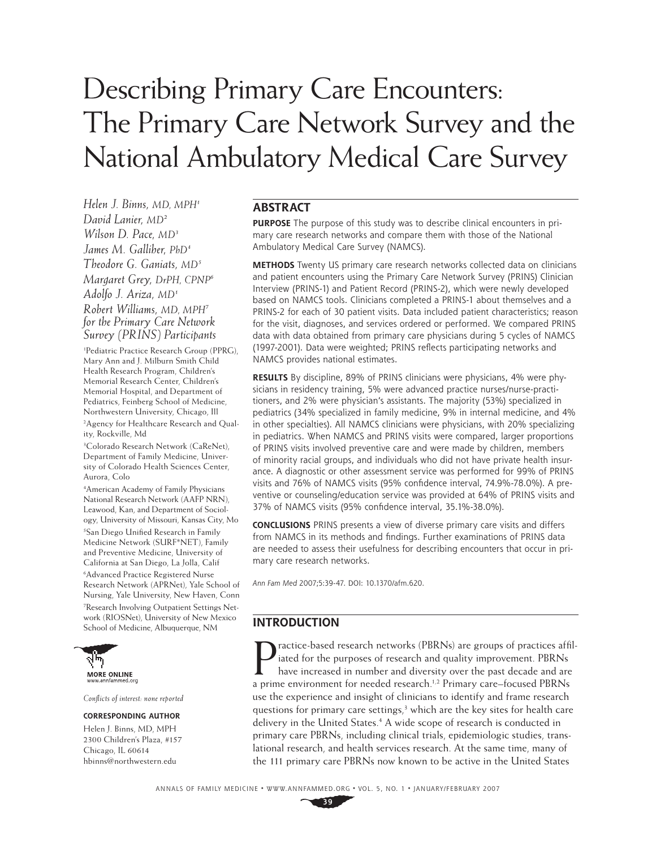# Describing Primary Care Encounters: The Primary Care Network Survey and the National Ambulatory Medical Care Survey

*Helen J. Binns, MD, MPH1 David Lanier, MD2 Wilson D. Pace, MD3 James M. Galliher, PhD4 Theodore G. Ganiats, MD5 Margaret Grey, DrPH, CPNP6 Adolfo J. Ariza, MD1 Robert Williams, MD, MPH7 for the Primary Care Network Survey (PRINS) Participants*

1 Pediatric Practice Research Group (PPRG), Mary Ann and J. Milburn Smith Child Health Research Program, Children's Memorial Research Center, Children's Memorial Hospital, and Department of Pediatrics, Feinberg School of Medicine, Northwestern University, Chicago, Ill 2 Agency for Healthcare Research and Quality, Rockville, Md

3 Colorado Research Network (CaReNet), Department of Family Medicine, University of Colorado Health Sciences Center, Aurora, Colo

4 American Academy of Family Physicians National Research Network (AAFP NRN), Leawood, Kan, and Department of Sociology, University of Missouri, Kansas City, Mo <sup>5</sup>San Diego Unified Research in Family Medicine Network (SURF\*NET), Family and Preventive Medicine, University of California at San Diego, La Jolla, Calif 6 Advanced Practice Registered Nurse Research Network (APRNet), Yale School of Nursing, Yale University, New Haven, Conn 7 Research Involving Outpatient Settings Network (RIOSNet), University of New Mexico School of Medicine, Albuquerque, NM



*Confl icts of interest: none reported*

#### **CORRESPONDING AUTHOR**

Helen J. Binns, MD, MPH 2300 Children's Plaza, #157 Chicago, IL 60614 hbinns@northwestern.edu

## **ABSTRACT**

**PURPOSE** The purpose of this study was to describe clinical encounters in primary care research networks and compare them with those of the National Ambulatory Medical Care Survey (NAMCS).

**METHODS** Twenty US primary care research networks collected data on clinicians and patient encounters using the Primary Care Network Survey (PRINS) Clinician Interview (PRINS-1) and Patient Record (PRINS-2), which were newly developed based on NAMCS tools. Clinicians completed a PRINS-1 about themselves and a PRINS-2 for each of 30 patient visits. Data included patient characteristics; reason for the visit, diagnoses, and services ordered or performed. We compared PRINS data with data obtained from primary care physicians during 5 cycles of NAMCS (1997-2001). Data were weighted; PRINS reflects participating networks and NAMCS provides national estimates.

**RESULTS** By discipline, 89% of PRINS clinicians were physicians, 4% were physicians in residency training, 5% were advanced practice nurses/nurse-practitioners, and 2% were physician's assistants. The majority (53%) specialized in pediatrics (34% specialized in family medicine, 9% in internal medicine, and 4% in other specialties). All NAMCS clinicians were physicians, with 20% specializing in pediatrics. When NAMCS and PRINS visits were compared, larger proportions of PRINS visits involved preventive care and were made by children, members of minority racial groups, and individuals who did not have private health insurance. A diagnostic or other assessment service was performed for 99% of PRINS visits and 76% of NAMCS visits (95% confidence interval, 74.9%-78.0%). A preventive or counseling/education service was provided at 64% of PRINS visits and 37% of NAMCS visits (95% confidence interval, 35.1%-38.0%).

**CONCLUSIONS** PRINS presents a view of diverse primary care visits and differs from NAMCS in its methods and findings. Further examinations of PRINS data are needed to assess their usefulness for describing encounters that occur in primary care research networks.

Ann Fam Med 2007;5:39-47. DOI: 10.1370/afm.620.

#### **INTRODUCTION**

**P** ractice-based research networks (PBRNs) are groups of practices affit iated for the purposes of research and quality improvement. PBRNs have increased in number and diversity over the past decade and are a prime enviro ractice-based research networks (PBRNs) are groups of practices affiliated for the purposes of research and quality improvement. PBRNs have increased in number and diversity over the past decade and are use the experience and insight of clinicians to identify and frame research questions for primary care settings,<sup>3</sup> which are the key sites for health care delivery in the United States.<sup>4</sup> A wide scope of research is conducted in primary care PBRNs, including clinical trials, epidemiologic studies, translational research, and health services research. At the same time, many of the 111 primary care PBRNs now known to be active in the United States

ANNALS OF FAMILY MEDICINE ✦ WWW.ANNFAMMED.ORG ✦ VOL. 5, NO. 1 ✦ JANUARY/FEBRUARY 2007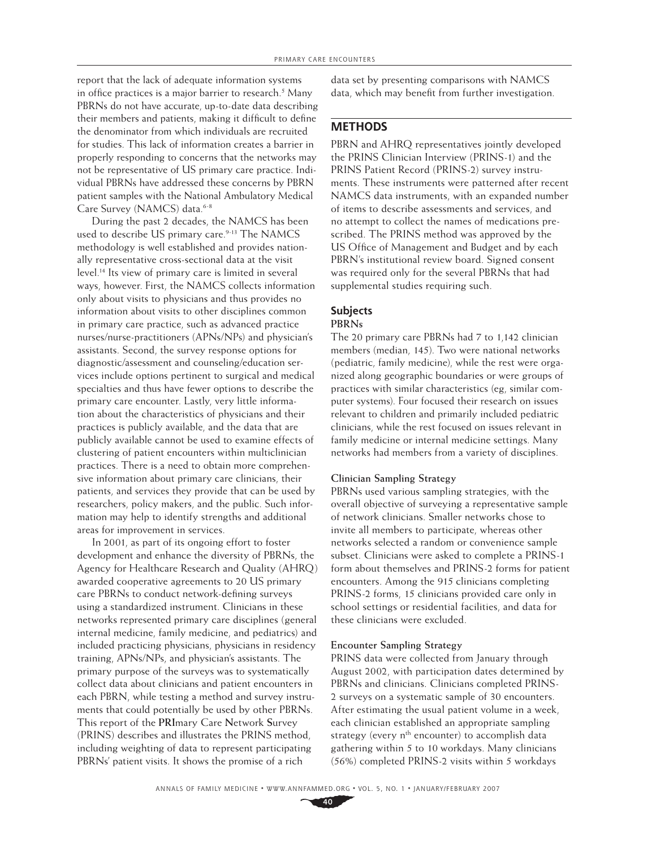report that the lack of adequate information systems in office practices is a major barrier to research.<sup>5</sup> Many PBRNs do not have accurate, up-to-date data describing their members and patients, making it difficult to define the denominator from which individuals are recruited for studies. This lack of information creates a barrier in properly responding to concerns that the networks may not be representative of US primary care practice. Individual PBRNs have addressed these concerns by PBRN patient samples with the National Ambulatory Medical Care Survey (NAMCS) data.<sup>6-8</sup>

During the past 2 decades, the NAMCS has been used to describe US primary care.<sup>9-13</sup> The NAMCS methodology is well established and provides nationally representative cross-sectional data at the visit level.14 Its view of primary care is limited in several ways, however. First, the NAMCS collects information only about visits to physicians and thus provides no information about visits to other disciplines common in primary care practice, such as advanced practice nurses/nurse-practitioners (APNs/NPs) and physician's assistants. Second, the survey response options for diagnostic/assessment and counseling/education services include options pertinent to surgical and medical specialties and thus have fewer options to describe the primary care encounter. Lastly, very little information about the characteristics of physicians and their practices is publicly available, and the data that are publicly available cannot be used to examine effects of clustering of patient encounters within multiclinician practices. There is a need to obtain more comprehensive information about primary care clinicians, their patients, and services they provide that can be used by researchers, policy makers, and the public. Such information may help to identify strengths and additional areas for improvement in services.

In 2001, as part of its ongoing effort to foster development and enhance the diversity of PBRNs, the Agency for Healthcare Research and Quality (AHRQ) awarded cooperative agreements to 20 US primary care PBRNs to conduct network-defining surveys using a standardized instrument. Clinicians in these networks represented primary care disciplines (general internal medicine, family medicine, and pediatrics) and included practicing physicians, physicians in residency training, APNs/NPs, and physician's assistants. The primary purpose of the surveys was to systematically collect data about clinicians and patient encounters in each PBRN, while testing a method and survey instruments that could potentially be used by other PBRNs. This report of the **PRI**mary Care **N**etwork **S**urvey (PRINS) describes and illustrates the PRINS method, including weighting of data to represent participating PBRNs' patient visits. It shows the promise of a rich

data set by presenting comparisons with NAMCS data, which may benefit from further investigation.

## **METHODS**

PBRN and AHRQ representatives jointly developed the PRINS Clinician Interview (PRINS-1) and the PRINS Patient Record (PRINS-2) survey instruments. These instruments were patterned after recent NAMCS data instruments, with an expanded number of items to describe assessments and services, and no attempt to collect the names of medications prescribed. The PRINS method was approved by the US Office of Management and Budget and by each PBRN's institutional review board. Signed consent was required only for the several PBRNs that had supplemental studies requiring such.

# **Subjects**

# **PBRNs**

The 20 primary care PBRNs had 7 to 1,142 clinician members (median, 145). Two were national networks (pediatric, family medicine), while the rest were organized along geographic boundaries or were groups of practices with similar characteristics (eg, similar computer systems). Four focused their research on issues relevant to children and primarily included pediatric clinicians, while the rest focused on issues relevant in family medicine or internal medicine settings. Many networks had members from a variety of disciplines.

#### **Clinician Sampling Strategy**

PBRNs used various sampling strategies, with the overall objective of surveying a representative sample of network clinicians. Smaller networks chose to invite all members to participate, whereas other networks selected a random or convenience sample subset. Clinicians were asked to complete a PRINS-1 form about themselves and PRINS-2 forms for patient encounters. Among the 915 clinicians completing PRINS-2 forms, 15 clinicians provided care only in school settings or residential facilities, and data for these clinicians were excluded.

#### **Encounter Sampling Strategy**

PRINS data were collected from January through August 2002, with participation dates determined by PBRNs and clinicians. Clinicians completed PRINS-2 surveys on a systematic sample of 30 encounters. After estimating the usual patient volume in a week, each clinician established an appropriate sampling strategy (every  $n<sup>th</sup>$  encounter) to accomplish data gathering within 5 to 10 workdays. Many clinicians (56%) completed PRINS-2 visits within 5 workdays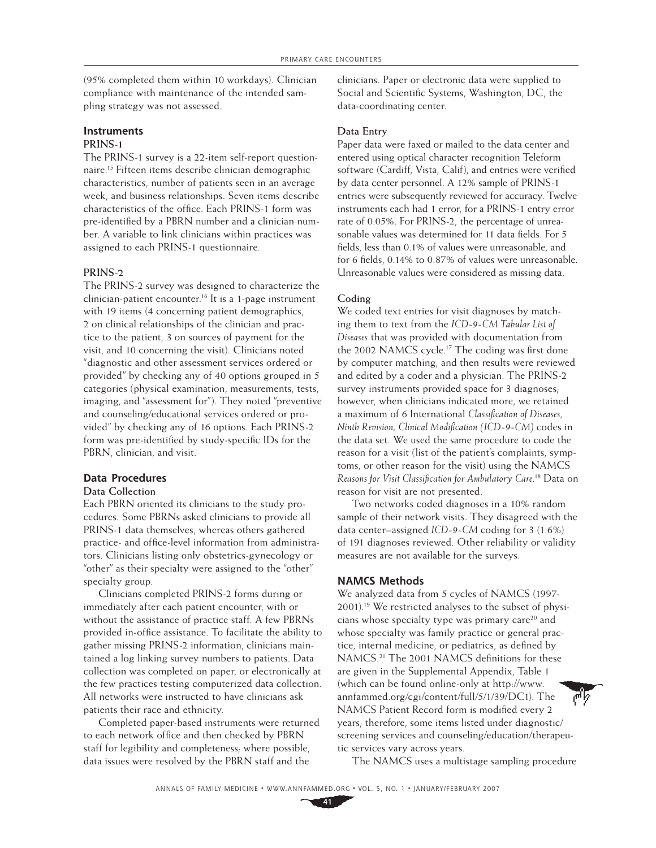(95% completed them within 10 workdays). Clinician compliance with maintenance of the intended sampling strategy was not assessed.

# **Instruments**

## **PRINS-1**

The PRINS-1 survey is a 22-item self-report questionnaire.15 Fifteen items describe clinician demographic characteristics, number of patients seen in an average week, and business relationships. Seven items describe characteristics of the office. Each PRINS-1 form was pre-identified by a PBRN number and a clinician number. A variable to link clinicians within practices was assigned to each PRINS-1 questionnaire.

#### **PRINS-2**

The PRINS-2 survey was designed to characterize the clinician-patient encounter.16 It is a 1-page instrument with 19 items (4 concerning patient demographics, 2 on clinical relationships of the clinician and practice to the patient, 3 on sources of payment for the visit, and 10 concerning the visit). Clinicians noted "diagnostic and other assessment services ordered or provided" by checking any of 40 options grouped in 5 categories (physical examination, measurements, tests, imaging, and "assessment for"). They noted "preventive and counseling/educational services ordered or provided" by checking any of 16 options. Each PRINS-2 form was pre-identified by study-specific IDs for the PBRN, clinician, and visit.

## **Data Procedures**

#### **Data Collection**

Each PBRN oriented its clinicians to the study procedures. Some PBRNs asked clinicians to provide all PRINS-1 data themselves, whereas others gathered practice- and office-level information from administrators. Clinicians listing only obstetrics-gynecology or "other" as their specialty were assigned to the "other" specialty group.

Clinicians completed PRINS-2 forms during or immediately after each patient encounter, with or without the assistance of practice staff. A few PBRNs provided in-office assistance. To facilitate the ability to gather missing PRINS-2 information, clinicians maintained a log linking survey numbers to patients. Data collection was completed on paper, or electronically at the few practices testing computerized data collection. All networks were instructed to have clinicians ask patients their race and ethnicity.

Completed paper-based instruments were returned to each network office and then checked by PBRN staff for legibility and completeness; where possible, data issues were resolved by the PBRN staff and the

clinicians. Paper or electronic data were supplied to Social and Scientific Systems, Washington, DC, the data-coordinating center.

#### **Data Entry**

Paper data were faxed or mailed to the data center and entered using optical character recognition Teleform software (Cardiff, Vista, Calif), and entries were verified by data center personnel. A 12% sample of PRINS-1 entries were subsequently reviewed for accuracy. Twelve instruments each had 1 error, for a PRINS-1 entry error rate of 0.05%. For PRINS-2, the percentage of unreasonable values was determined for 11 data fields. For 5 fields, less than 0.1% of values were unreasonable, and for 6 fields, 0.14% to 0.87% of values were unreasonable. Unreasonable values were considered as missing data.

#### **Coding**

We coded text entries for visit diagnoses by matching them to text from the *ICD-9-CM Tabular List of Diseases* that was provided with documentation from the 2002 NAMCS cycle.<sup>17</sup> The coding was first done by computer matching, and then results were reviewed and edited by a coder and a physician. The PRINS-2 survey instruments provided space for 3 diagnoses; however, when clinicians indicated more, we retained a maximum of 6 International *Classification* of Diseases, *Ninth Revision, Clinical Modification (ICD-9-CM)* codes in the data set. We used the same procedure to code the reason for a visit (list of the patient's complaints, symptoms, or other reason for the visit) using the NAMCS *Reasons for Visit Classifi cation for Ambulatory Care*. 18 Data on reason for visit are not presented.

Two networks coded diagnoses in a 10% random sample of their network visits. They disagreed with the data center–assigned *ICD-9-CM* coding for 3 (1.6%) of 191 diagnoses reviewed. Other reliability or validity measures are not available for the surveys.

#### **NAMCS Methods**

We analyzed data from 5 cycles of NAMCS (1997-2001).19 We restricted analyses to the subset of physicians whose specialty type was primary care<sup>20</sup> and whose specialty was family practice or general practice, internal medicine, or pediatrics, as defined by NAMCS.<sup>21</sup> The 2001 NAMCS definitions for these are given in the Supplemental Appendix, Table 1 (which can be found online-only at http://www. annfammed.org/cgi/content/full/5/1/39/DC1). The NAMCS Patient Record form is modified every 2 years; therefore, some items listed under diagnostic/ screening services and counseling/education/therapeutic services vary across years.

The NAMCS uses a multistage sampling procedure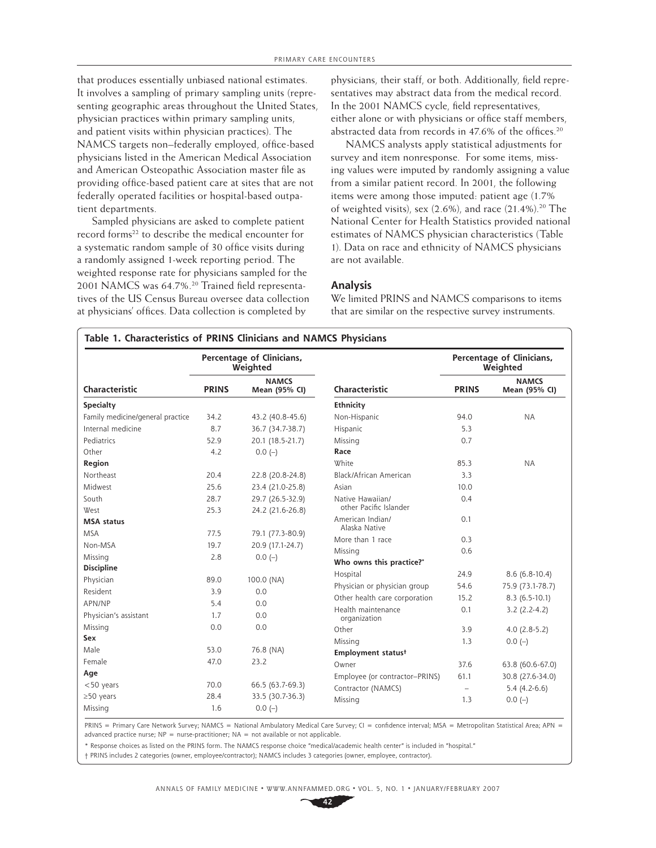that produces essentially unbiased national estimates. It involves a sampling of primary sampling units (representing geographic areas throughout the United States, physician practices within primary sampling units, and patient visits within physician practices). The NAMCS targets non–federally employed, office-based physicians listed in the American Medical Association and American Osteopathic Association master file as providing office-based patient care at sites that are not federally operated facilities or hospital-based outpatient departments.

Sampled physicians are asked to complete patient record forms<sup>22</sup> to describe the medical encounter for a systematic random sample of 30 office visits during a randomly assigned 1-week reporting period. The weighted response rate for physicians sampled for the 2001 NAMCS was 64.7%.<sup>20</sup> Trained field representatives of the US Census Bureau oversee data collection at physicians' offices. Data collection is completed by

physicians, their staff, or both. Additionally, field representatives may abstract data from the medical record. In the 2001 NAMCS cycle, field representatives, either alone or with physicians or office staff members, abstracted data from records in 47.6% of the offices.<sup>20</sup>

NAMCS analysts apply statistical adjustments for survey and item nonresponse. For some items, missing values were imputed by randomly assigning a value from a similar patient record. In 2001, the following items were among those imputed: patient age (1.7% of weighted visits), sex  $(2.6\%)$ , and race  $(21.4\%)$ .<sup>20</sup> The National Center for Health Statistics provided national estimates of NAMCS physician characteristics (Table 1). Data on race and ethnicity of NAMCS physicians are not available.

#### **Analysis**

We limited PRINS and NAMCS comparisons to items that are similar on the respective survey instruments.

|                                  |                                               | Percentage of Clinicians,<br>Weighted |                                    |                          | Percentage of Clinicians,<br>Weighted |
|----------------------------------|-----------------------------------------------|---------------------------------------|------------------------------------|--------------------------|---------------------------------------|
| Characteristic                   | <b>NAMCS</b><br><b>PRINS</b><br>Mean (95% CI) |                                       | Characteristic                     | <b>PRINS</b>             | <b>NAMCS</b><br>Mean (95% CI)         |
| Specialty                        |                                               |                                       | Ethnicity                          |                          |                                       |
| Family medicine/general practice | 34.2                                          | 43.2 (40.8-45.6)                      | Non-Hispanic                       | 94.0                     | <b>NA</b>                             |
| Internal medicine                | 8.7                                           | 36.7 (34.7-38.7)                      | Hispanic                           | 5.3                      |                                       |
| Pediatrics                       | 52.9                                          | 20.1 (18.5-21.7)                      | Missing                            | 0.7                      |                                       |
| Other                            | 4.2                                           | $0.0(-)$                              | Race                               |                          |                                       |
| Region                           |                                               |                                       | <b>White</b>                       | 85.3                     | <b>NA</b>                             |
| Northeast                        | 20.4                                          | 22.8 (20.8-24.8)                      | Black/African American             | 3.3                      |                                       |
| Midwest                          | 25.6                                          | 23.4 (21.0-25.8)                      | Asian                              | 10.0                     |                                       |
| South                            | 28.7                                          | 29.7 (26.5-32.9)                      | Native Hawaiian/                   | 0.4                      |                                       |
| West                             | 25.3                                          | 24.2 (21.6-26.8)                      | other Pacific Islander             |                          |                                       |
| <b>MSA</b> status                |                                               |                                       | American Indian/<br>Alaska Native  | 0.1                      |                                       |
| <b>MSA</b>                       | 77.5                                          | 79.1 (77.3-80.9)                      | More than 1 race                   | 0.3                      |                                       |
| Non-MSA                          | 19.7                                          | 20.9 (17.1-24.7)                      |                                    |                          |                                       |
| Missing                          | 2.8                                           | $0.0(-)$                              | Missing                            | 0.6                      |                                       |
| <b>Discipline</b>                |                                               |                                       | Who owns this practice?"           |                          |                                       |
| Physician                        | 89.0                                          | 100.0 (NA)                            | Hospital                           | 24.9                     | $8.6(6.8-10.4)$                       |
| Resident                         | 3.9                                           | 0.0                                   | Physician or physician group       | 54.6                     | 75.9 (73.1-78.7)                      |
| APN/NP                           | 5.4                                           | 0.0                                   | Other health care corporation      | 15.2                     | $8.3(6.5-10.1)$                       |
| Physician's assistant            | 1.7                                           | 0.0                                   | Health maintenance<br>organization | 0.1                      | $3.2(2.2-4.2)$                        |
| Missing                          | 0.0                                           | 0.0                                   | Other                              | 3.9                      | $4.0(2.8-5.2)$                        |
| Sex                              |                                               |                                       | Missing                            | 1.3                      | $0.0(-)$                              |
| Male                             | 53.0                                          | 76.8 (NA)                             | Employment status <sup>†</sup>     |                          |                                       |
| Female                           | 47.0                                          | 23.2                                  | Owner                              | 37.6                     | 63.8 (60.6-67.0)                      |
| Age                              |                                               |                                       | Employee (or contractor-PRINS)     | 61.1                     | 30.8 (27.6-34.0)                      |
| <50 years                        | 70.0                                          | 66.5 (63.7-69.3)                      | Contractor (NAMCS)                 | $\overline{\phantom{0}}$ | $5.4(4.2-6.6)$                        |
| $\geq$ 50 years                  | 28.4                                          | 33.5 (30.7-36.3)                      | Missing                            | 1.3                      | $0.0(-)$                              |
| Missing                          | 1.6                                           | $0.0(-)$                              |                                    |                          |                                       |

PRINS = Primary Care Network Survey; NAMCS = National Ambulatory Medical Care Survey; CI = confidence interval; MSA = Metropolitan Statistical Area; APN = advanced practice nurse; NP = nurse-practitioner; NA = not available or not applicable.

\* Response choices as listed on the PRINS form. The NAMCS response choice "medical/academic health center" is included in "hospital."

† PRINS includes 2 categories (owner, employee/contractor); NAMCS includes 3 categories (owner, employee, contractor).

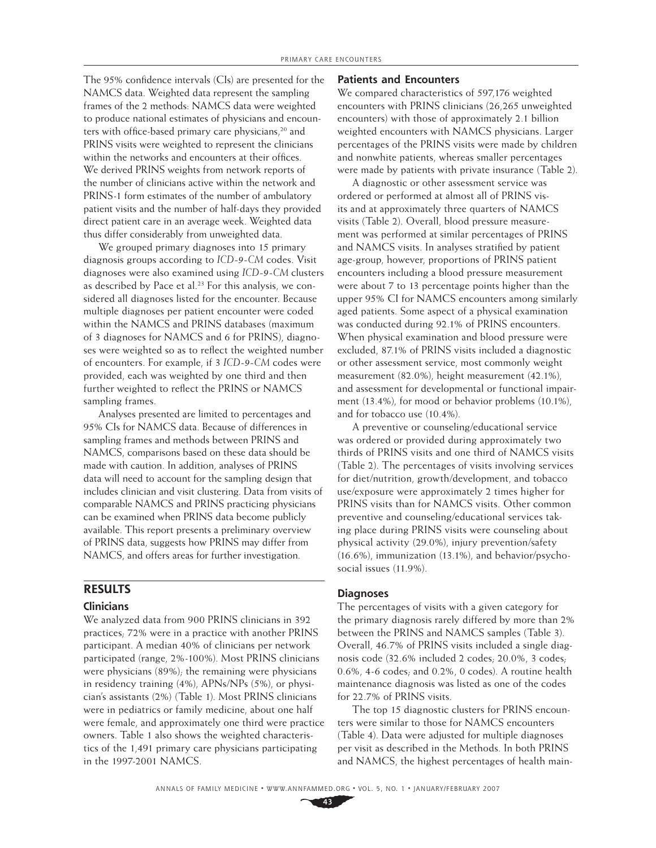The 95% confidence intervals (CIs) are presented for the NAMCS data. Weighted data represent the sampling frames of the 2 methods: NAMCS data were weighted to produce national estimates of physicians and encounters with office-based primary care physicians,<sup>20</sup> and PRINS visits were weighted to represent the clinicians within the networks and encounters at their offices. We derived PRINS weights from network reports of the number of clinicians active within the network and PRINS-1 form estimates of the number of ambulatory patient visits and the number of half-days they provided direct patient care in an average week. Weighted data thus differ considerably from unweighted data.

We grouped primary diagnoses into 15 primary diagnosis groups according to *ICD-9-CM* codes. Visit diagnoses were also examined using *ICD-9-CM* clusters as described by Pace et al.<sup>23</sup> For this analysis, we considered all diagnoses listed for the encounter. Because multiple diagnoses per patient encounter were coded within the NAMCS and PRINS databases (maximum of 3 diagnoses for NAMCS and 6 for PRINS), diagnoses were weighted so as to reflect the weighted number of encounters. For example, if 3 *ICD-9-CM* codes were provided, each was weighted by one third and then further weighted to reflect the PRINS or NAMCS sampling frames.

Analyses presented are limited to percentages and 95% CIs for NAMCS data. Because of differences in sampling frames and methods between PRINS and NAMCS, comparisons based on these data should be made with caution. In addition, analyses of PRINS data will need to account for the sampling design that includes clinician and visit clustering. Data from visits of comparable NAMCS and PRINS practicing physicians can be examined when PRINS data become publicly available. This report presents a preliminary overview of PRINS data, suggests how PRINS may differ from NAMCS, and offers areas for further investigation.

## **RESULTS**

#### **Clinicians**

We analyzed data from 900 PRINS clinicians in 392 practices; 72% were in a practice with another PRINS participant. A median 40% of clinicians per network participated (range, 2%-100%). Most PRINS clinicians were physicians (89%); the remaining were physicians in residency training (4%), APNs/NPs (5%), or physician's assistants (2%) (Table 1). Most PRINS clinicians were in pediatrics or family medicine, about one half were female, and approximately one third were practice owners. Table 1 also shows the weighted characteristics of the 1,491 primary care physicians participating in the 1997-2001 NAMCS.

#### **Patients and Encounters**

We compared characteristics of 597,176 weighted encounters with PRINS clinicians (26,265 unweighted encounters) with those of approximately 2.1 billion weighted encounters with NAMCS physicians. Larger percentages of the PRINS visits were made by children and nonwhite patients, whereas smaller percentages were made by patients with private insurance (Table 2).

A diagnostic or other assessment service was ordered or performed at almost all of PRINS visits and at approximately three quarters of NAMCS visits (Table 2). Overall, blood pressure measurement was performed at similar percentages of PRINS and NAMCS visits. In analyses stratified by patient age-group, however, proportions of PRINS patient encounters including a blood pressure measurement were about 7 to 13 percentage points higher than the upper 95% CI for NAMCS encounters among similarly aged patients. Some aspect of a physical examination was conducted during 92.1% of PRINS encounters. When physical examination and blood pressure were excluded, 87.1% of PRINS visits included a diagnostic or other assessment service, most commonly weight measurement (82.0%), height measurement (42.1%), and assessment for developmental or functional impairment (13.4%), for mood or behavior problems (10.1%), and for tobacco use (10.4%).

A preventive or counseling/educational service was ordered or provided during approximately two thirds of PRINS visits and one third of NAMCS visits (Table 2). The percentages of visits involving services for diet/nutrition, growth/development, and tobacco use/exposure were approximately 2 times higher for PRINS visits than for NAMCS visits. Other common preventive and counseling/educational services taking place during PRINS visits were counseling about physical activity (29.0%), injury prevention/safety (16.6%), immunization (13.1%), and behavior/psychosocial issues (11.9%).

#### **Diagnoses**

The percentages of visits with a given category for the primary diagnosis rarely differed by more than 2% between the PRINS and NAMCS samples (Table 3). Overall, 46.7% of PRINS visits included a single diagnosis code (32.6% included 2 codes; 20.0%, 3 codes; 0.6%, 4-6 codes; and 0.2%, 0 codes). A routine health maintenance diagnosis was listed as one of the codes for 22.7% of PRINS visits.

The top 15 diagnostic clusters for PRINS encounters were similar to those for NAMCS encounters (Table 4). Data were adjusted for multiple diagnoses per visit as described in the Methods. In both PRINS and NAMCS, the highest percentages of health main-

ANNALS OF FAMILY MEDICINE ✦ WWW.ANNFAMMED.ORG ✦ VOL. 5, NO. 1 ✦ JANUARY/FEBRUARY 2007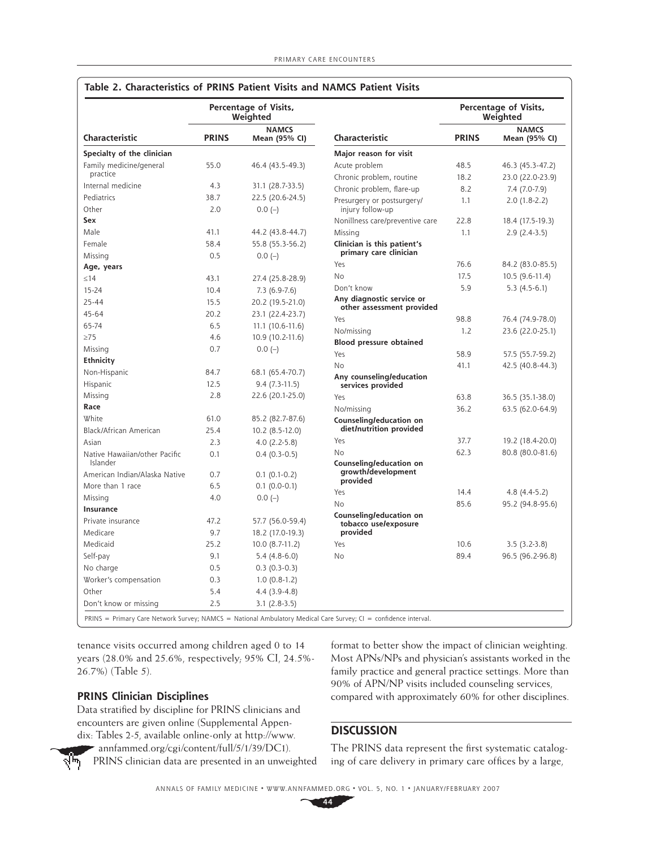|                               |                                               | Percentage of Visits,<br>Weighted |                                                        | Percentage of Visits,<br>Weighted |                               |
|-------------------------------|-----------------------------------------------|-----------------------------------|--------------------------------------------------------|-----------------------------------|-------------------------------|
| Characteristic                | <b>NAMCS</b><br><b>PRINS</b><br>Mean (95% CI) |                                   | Characteristic                                         | <b>PRINS</b>                      | <b>NAMCS</b><br>Mean (95% CI) |
| Specialty of the clinician    |                                               |                                   | Major reason for visit                                 |                                   |                               |
| Family medicine/general       | 55.0                                          | 46.4 (43.5-49.3)                  | Acute problem                                          | 48.5                              | 46.3 (45.3-47.2)              |
| practice                      |                                               |                                   | Chronic problem, routine                               | 18.2                              | 23.0 (22.0-23.9)              |
| Internal medicine             | 4.3                                           | 31.1 (28.7-33.5)                  | Chronic problem, flare-up                              | 8.2                               | 7.4 (7.0-7.9)                 |
| Pediatrics                    | 38.7                                          | 22.5 (20.6-24.5)                  | Presurgery or postsurgery/                             | 1.1                               | $2.0(1.8-2.2)$                |
| Other                         | 2.0                                           | $0.0(-)$                          | injury follow-up                                       |                                   |                               |
| Sex                           |                                               |                                   | Nonillness care/preventive care                        | 22.8                              | 18.4 (17.5-19.3)              |
| Male                          | 41.1                                          | 44.2 (43.8-44.7)                  | Missing                                                | 1.1                               | $2.9(2.4-3.5)$                |
| Female                        | 58.4                                          | 55.8 (55.3-56.2)                  | Clinician is this patient's                            |                                   |                               |
| Missing                       | 0.5                                           | $0.0(-)$                          | primary care clinician                                 |                                   |                               |
| Age, years                    |                                               |                                   | Yes                                                    | 76.6                              | 84.2 (83.0-85.5)              |
| $\leq$ 14                     | 43.1                                          | 27.4 (25.8-28.9)                  | No                                                     | 17.5                              | 10.5 (9.6-11.4)               |
| $15 - 24$                     | 10.4                                          | $7.3(6.9-7.6)$                    | Don't know                                             | 5.9                               | $5.3(4.5-6.1)$                |
| $25 - 44$                     | 15.5                                          | 20.2 (19.5-21.0)                  | Any diagnostic service or<br>other assessment provided |                                   |                               |
| $45 - 64$                     | 20.2                                          | 23.1 (22.4-23.7)                  | Yes                                                    | 98.8                              | 76.4 (74.9-78.0)              |
| 65-74                         | 6.5                                           | $11.1(10.6-11.6)$                 | No/missing                                             | 1.2                               | 23.6 (22.0-25.1)              |
| $\geq$ 75                     | 4.6                                           | 10.9 (10.2-11.6)                  | Blood pressure obtained                                |                                   |                               |
| Missing                       | 0.7                                           | $0.0(-)$                          | Yes                                                    | 58.9                              | 57.5 (55.7-59.2)              |
| Ethnicity                     |                                               |                                   | No                                                     | 41.1                              | 42.5 (40.8-44.3)              |
| Non-Hispanic                  | 84.7                                          | 68.1 (65.4-70.7)                  | Any counseling/education                               |                                   |                               |
| Hispanic                      | 12.5                                          | $9.4(7.3-11.5)$                   | services provided                                      |                                   |                               |
| Missing                       | 2.8                                           | 22.6 (20.1-25.0)                  | Yes                                                    | 63.8                              | 36.5 (35.1-38.0)              |
| Race                          |                                               |                                   | No/missing                                             | 36.2                              | 63.5 (62.0-64.9)              |
| White                         | 61.0                                          | 85.2 (82.7-87.6)                  | Counseling/education on                                |                                   |                               |
| Black/African American        | 25.4                                          | 10.2 (8.5-12.0)                   | diet/nutrition provided                                |                                   |                               |
| Asian                         | 2.3                                           | $4.0(2.2-5.8)$                    | Yes                                                    | 37.7                              | 19.2 (18.4-20.0)              |
| Native Hawaiian/other Pacific | 0.1                                           | $0.4(0.3-0.5)$                    | No                                                     | 62.3                              | 80.8 (80.0-81.6)              |
| Islander                      |                                               |                                   | Counseling/education on                                |                                   |                               |
| American Indian/Alaska Native | 0.7                                           | $0.1(0.1-0.2)$                    | growth/development<br>provided                         |                                   |                               |
| More than 1 race              | 6.5                                           | $0.1 (0.0 - 0.1)$                 | Yes                                                    | 14.4                              | $4.8(4.4-5.2)$                |
| Missing                       | 4.0                                           | $0.0(-)$                          | No                                                     | 85.6                              | 95.2 (94.8-95.6)              |
| Insurance                     |                                               |                                   | Counseling/education on                                |                                   |                               |
| Private insurance             | 47.2                                          | 57.7 (56.0-59.4)                  | tobacco use/exposure                                   |                                   |                               |
| Medicare                      | 9.7                                           | 18.2 (17.0-19.3)                  | provided                                               |                                   |                               |
| Medicaid                      | 25.2                                          | 10.0 (8.7-11.2)                   | Yes                                                    | 10.6                              | $3.5(3.2-3.8)$                |
| Self-pay                      | 9.1                                           | $5.4(4.8-6.0)$                    | No                                                     | 89.4                              | 96.5 (96.2-96.8)              |
| No charge                     | 0.5                                           | $0.3(0.3-0.3)$                    |                                                        |                                   |                               |
| Worker's compensation         | 0.3                                           | $1.0(0.8-1.2)$                    |                                                        |                                   |                               |
| Other                         | 5.4                                           | $4.4(3.9-4.8)$                    |                                                        |                                   |                               |
| Don't know or missing         | 2.5                                           | $3.1 (2.8 - 3.5)$                 |                                                        |                                   |                               |

# **Table 2. Characteristics of PRINS Patient Visits and NAMCS Patient Visits**

tenance visits occurred among children aged 0 to 14 years (28.0% and 25.6%, respectively; 95% CI, 24.5%- 26.7%) (Table 5).

## **PRINS Clinician Disciplines**

Data stratified by discipline for PRINS clinicians and encounters are given online (Supplemental Appendix: Tables 2-5, available online-only at http://www.

annfammed.org/cgi/content/full/5/1/39/DC1). PRINS clinician data are presented in an unweighted

format to better show the impact of clinician weighting. Most APNs/NPs and physician's assistants worked in the family practice and general practice settings. More than 90% of APN/NP visits included counseling services, compared with approximately 60% for other disciplines.

# **DISCUSSION**

The PRINS data represent the first systematic cataloging of care delivery in primary care offices by a large,

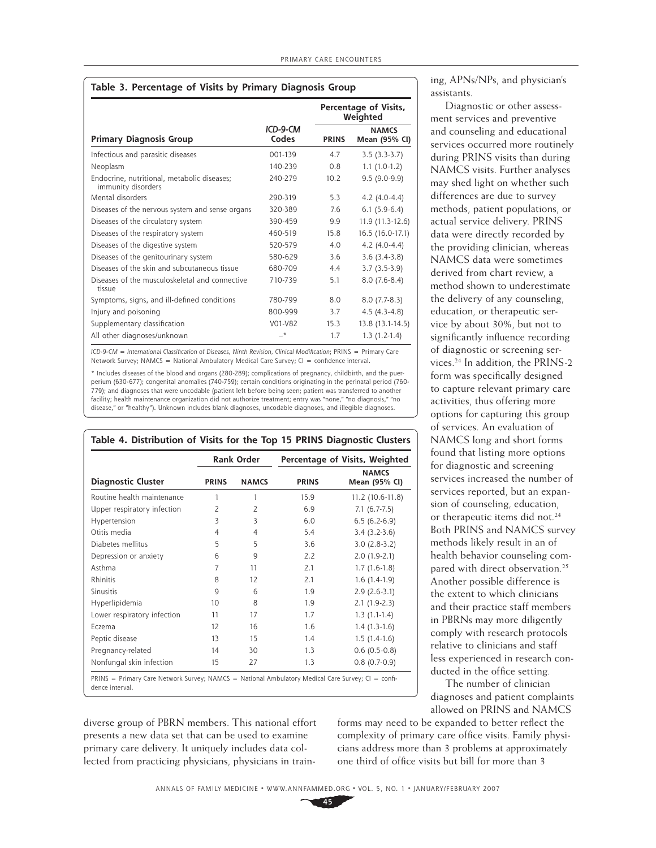| Table 3. Percentage of Visits by Primary Diagnosis Group |
|----------------------------------------------------------|
|----------------------------------------------------------|

|                                                                   |                   |              | Percentage of Visits,<br>Weighted |
|-------------------------------------------------------------------|-------------------|--------------|-----------------------------------|
| <b>Primary Diagnosis Group</b>                                    | ICD-9-CM<br>Codes | <b>PRINS</b> | <b>NAMCS</b><br>Mean (95% CI)     |
| Infectious and parasitic diseases                                 | 001-139           | 4.7          | $3.5(3.3-3.7)$                    |
| Neoplasm                                                          | 140-239           | 0.8          | $1.1(1.0-1.2)$                    |
| Endocrine, nutritional, metabolic diseases;<br>immunity disorders | 240-279           | 10.2         | $9.5(9.0-9.9)$                    |
| Mental disorders                                                  | 290-319           | 5.3          | $4.2$ (4.0-4.4)                   |
| Diseases of the nervous system and sense organs                   | 320-389           | 7.6          | $6.1(5.9-6.4)$                    |
| Diseases of the circulatory system                                | 390-459           | 9.9          | 11.9 (11.3-12.6)                  |
| Diseases of the respiratory system                                | 460-519           | 15.8         | 16.5 (16.0-17.1)                  |
| Diseases of the digestive system                                  | 520-579           | 4.0          | $4.2(4.0-4.4)$                    |
| Diseases of the genitourinary system                              | 580-629           | 3.6          | $3.6(3.4-3.8)$                    |
| Diseases of the skin and subcutaneous tissue                      | 680-709           | 44           | $3.7(3.5-3.9)$                    |
| Diseases of the musculoskeletal and connective<br>tissue          | 710-739           | 5.1          | $8.0(7.6-8.4)$                    |
| Symptoms, signs, and ill-defined conditions                       | 780-799           | 8.0          | $8.0(7.7-8.3)$                    |
| Injury and poisoning                                              | 800-999           | 3.7          | $4.5(4.3-4.8)$                    |
| Supplementary classification                                      | V01-V82           | 15.3         | 13.8 (13.1-14.5)                  |
| All other diagnoses/unknown                                       | $-*$              | 1.7          | $1.3(1.2-1.4)$                    |

 $ICD-9-CM = International Classification of Dispaces, Ninth Revision, Clinical Modification: PRINS = Primary Care$ Network Survey; NAMCS = National Ambulatory Medical Care Survey; CI = confidence interval.

\* Includes diseases of the blood and organs (280-289); complications of pregnancy, childbirth, and the puerperium (630-677); congenital anomalies (740-759); certain conditions originating in the perinatal period (760- 779); and diagnoses that were uncodable (patient left before being seen; patient was transferred to another facility; health maintenance organization did not authorize treatment; entry was "none," "no diagnosis," "no disease," or "healthy"). Unknown includes blank diagnoses, uncodable diagnoses, and illegible diagnoses.

|                             | <b>Rank Order</b> |                | Percentage of Visits, Weighted |                               |  |
|-----------------------------|-------------------|----------------|--------------------------------|-------------------------------|--|
| <b>Diagnostic Cluster</b>   | <b>PRINS</b>      | <b>NAMCS</b>   | <b>PRINS</b>                   | <b>NAMCS</b><br>Mean (95% CI) |  |
| Routine health maintenance  | 1                 | 1              | 15.9                           | 11.2 (10.6-11.8)              |  |
| Upper respiratory infection | $\overline{2}$    | $\overline{2}$ | 6.9                            | $7.1(6.7-7.5)$                |  |
| Hypertension                | 3                 | 3              | 6.0                            | $6.5(6.2-6.9)$                |  |
| Otitis media                | 4                 | $\overline{4}$ | 5.4                            | $3.4(3.2-3.6)$                |  |
| Diabetes mellitus           | 5                 | 5              | 3.6                            | $3.0(2.8-3.2)$                |  |
| Depression or anxiety       | 6                 | 9              | 2.2                            | $2.0(1.9-2.1)$                |  |
| Asthma                      | 7                 | 11             | 2.1                            | $1.7(1.6-1.8)$                |  |
| Rhinitis                    | 8                 | 12             | 2.1                            | $1.6(1.4-1.9)$                |  |
| Sinusitis                   | $\mathsf{Q}$      | 6              | 1.9                            | $2.9(2.6-3.1)$                |  |
| Hyperlipidemia              | 10                | 8              | 1.9                            | $2.1(1.9-2.3)$                |  |
| Lower respiratory infection | 11                | 17             | 1.7                            | $1.3(1.1-1.4)$                |  |
| Eczema                      | 12                | 16             | 1.6                            | $1.4(1.3-1.6)$                |  |
| Peptic disease              | 13                | 15             | 1.4                            | $1.5(1.4-1.6)$                |  |
| Pregnancy-related           | 14                | 30             | 1.3                            | $0.6(0.5-0.8)$                |  |
| Nonfungal skin infection    | 15                | 27             | 1.3                            | $0.8(0.7-0.9)$                |  |

dence interval.

diverse group of PBRN members. This national effort presents a new data set that can be used to examine primary care delivery. It uniquely includes data collected from practicing physicians, physicians in training, APNs/NPs, and physician's assistants.

Diagnostic or other assessment services and preventive and counseling and educational services occurred more routinely during PRINS visits than during NAMCS visits. Further analyses may shed light on whether such differences are due to survey methods, patient populations, or actual service delivery. PRINS data were directly recorded by the providing clinician, whereas NAMCS data were sometimes derived from chart review, a method shown to underestimate the delivery of any counseling, education, or therapeutic service by about 30%, but not to significantly influence recording of diagnostic or screening services.24 In addition, the PRINS-2 form was specifically designed to capture relevant primary care activities, thus offering more options for capturing this group of services. An evaluation of NAMCS long and short forms found that listing more options for diagnostic and screening services increased the number of services reported, but an expansion of counseling, education, or therapeutic items did not.<sup>24</sup> Both PRINS and NAMCS survey methods likely result in an of health behavior counseling compared with direct observation.<sup>25</sup> Another possible difference is the extent to which clinicians and their practice staff members in PBRNs may more diligently comply with research protocols relative to clinicians and staff less experienced in research conducted in the office setting.

The number of clinician diagnoses and patient complaints allowed on PRINS and NAMCS

forms may need to be expanded to better reflect the complexity of primary care office visits. Family physicians address more than 3 problems at approximately one third of office visits but bill for more than 3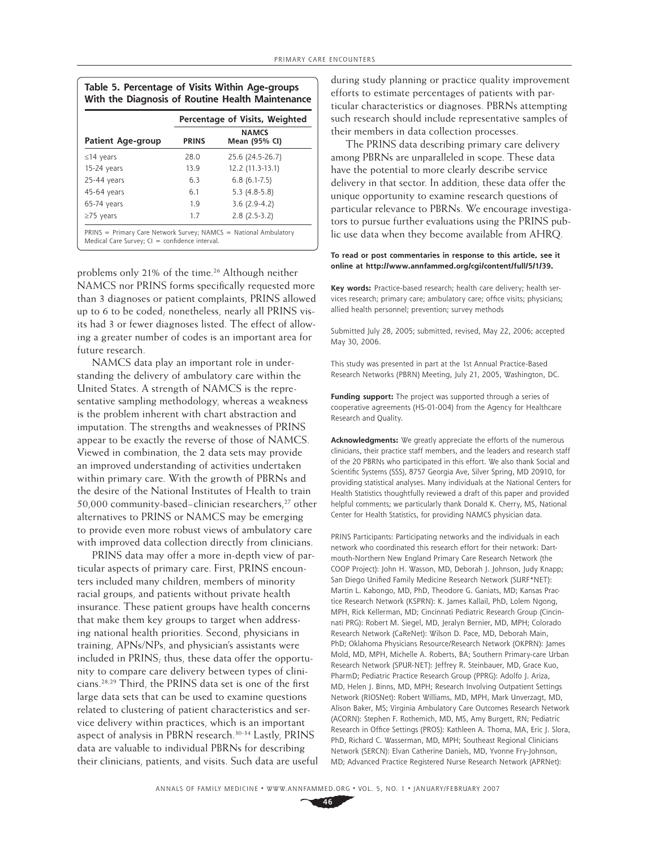| Table 5. Percentage of Visits Within Age-groups  |
|--------------------------------------------------|
| With the Diagnosis of Routine Health Maintenance |

|                          | Percentage of Visits, Weighted |                               |  |  |
|--------------------------|--------------------------------|-------------------------------|--|--|
| <b>Patient Age-group</b> | <b>PRINS</b>                   | <b>NAMCS</b><br>Mean (95% CI) |  |  |
| $\leq$ 14 years          | 28.0                           | 25.6 (24.5-26.7)              |  |  |
| 15-24 years              | 13.9                           | 12.2 (11.3-13.1)              |  |  |
| $25-44$ years            | 6.3                            | $6.8(6.1-7.5)$                |  |  |
| 45-64 years              | 6.1                            | $5.3(4.8-5.8)$                |  |  |
| $65-74$ years            | 1.9                            | $3.6(2.9-4.2)$                |  |  |
| $\geq$ 75 years          | 1.7                            | $2.8(2.5-3.2)$                |  |  |

problems only 21% of the time.<sup>26</sup> Although neither NAMCS nor PRINS forms specifically requested more than 3 diagnoses or patient complaints, PRINS allowed up to 6 to be coded; nonetheless, nearly all PRINS visits had 3 or fewer diagnoses listed. The effect of allowing a greater number of codes is an important area for future research.

NAMCS data play an important role in understanding the delivery of ambulatory care within the United States. A strength of NAMCS is the representative sampling methodology, whereas a weakness is the problem inherent with chart abstraction and imputation. The strengths and weaknesses of PRINS appear to be exactly the reverse of those of NAMCS. Viewed in combination, the 2 data sets may provide an improved understanding of activities undertaken within primary care. With the growth of PBRNs and the desire of the National Institutes of Health to train 50,000 community-based−clinician researchers,27 other alternatives to PRINS or NAMCS may be emerging to provide even more robust views of ambulatory care with improved data collection directly from clinicians.

PRINS data may offer a more in-depth view of particular aspects of primary care. First, PRINS encounters included many children, members of minority racial groups, and patients without private health insurance. These patient groups have health concerns that make them key groups to target when addressing national health priorities. Second, physicians in training, APNs/NPs, and physician's assistants were included in PRINS; thus, these data offer the opportunity to compare care delivery between types of clini cians.<sup>28,29</sup> Third, the PRINS data set is one of the first large data sets that can be used to examine questions related to clustering of patient characteristics and service delivery within practices, which is an important aspect of analysis in PBRN research.<sup>30-34</sup> Lastly, PRINS data are valuable to individual PBRNs for describing their clinicians, patients, and visits. Such data are useful

during study planning or practice quality improvement efforts to estimate percentages of patients with particular characteristics or diagnoses. PBRNs attempting such research should include representative samples of their members in data collection processes.

The PRINS data describing primary care delivery among PBRNs are unparalleled in scope. These data have the potential to more clearly describe service delivery in that sector. In addition, these data offer the unique opportunity to examine research questions of particular relevance to PBRNs. We encourage investigators to pursue further evaluations using the PRINS public use data when they become available from AHRQ.

#### **To read or post commentaries in response to this article, see it online at http://www.annfammed.org/cgi/content/full/5/1/39.**

**Key words:** Practice-based research; health care delivery; health services research; primary care; ambulatory care; office visits; physicians; allied health personnel; prevention; survey methods

Submitted July 28, 2005; submitted, revised, May 22, 2006; accepted May 30, 2006.

This study was presented in part at the 1st Annual Practice-Based Research Networks (PBRN) Meeting, July 21, 2005, Washington, DC.

**Funding support:** The project was supported through a series of cooperative agreements (HS-01-004) from the Agency for Healthcare Research and Quality.

**Acknowledgments:** We greatly appreciate the efforts of the numerous clinicians, their practice staff members, and the leaders and research staff of the 20 PBRNs who participated in this effort. We also thank Social and Scientific Systems (SSS), 8757 Georgia Ave, Silver Spring, MD 20910, for providing statistical analyses. Many individuals at the National Centers for Health Statistics thoughtfully reviewed a draft of this paper and provided helpful comments; we particularly thank Donald K. Cherry, MS, National Center for Health Statistics, for providing NAMCS physician data.

PRINS Participants: Participating networks and the individuals in each network who coordinated this research effort for their network: Dartmouth-Northern New England Primary Care Research Network (the COOP Project): John H. Wasson, MD, Deborah J. Johnson, Judy Knapp; San Diego Unified Family Medicine Research Network (SURF\*NET): Martin L. Kabongo, MD, PhD, Theodore G. Ganiats, MD; Kansas Practice Research Network (KSPRN): K. James Kallail, PhD, Lolem Ngong, MPH, Rick Kellerman, MD; Cincinnati Pediatric Research Group (Cincinnati PRG): Robert M. Siegel, MD, Jeralyn Bernier, MD, MPH; Colorado Research Network (CaReNet): Wilson D. Pace, MD, Deborah Main, PhD; Oklahoma Physicians Resource/Research Network (OKPRN): James Mold, MD, MPH, Michelle A. Roberts, BA; Southern Primary-care Urban Research Network (SPUR-NET): Jeffrey R. Steinbauer, MD, Grace Kuo, PharmD; Pediatric Practice Research Group (PPRG): Adolfo J. Ariza, MD, Helen J. Binns, MD, MPH; Research Involving Outpatient Settings Network (RIOSNet): Robert Williams, MD, MPH, Mark Unverzagt, MD, Alison Baker, MS; Virginia Ambulatory Care Outcomes Research Network (ACORN): Stephen F. Rothemich, MD, MS, Amy Burgett, RN; Pediatric Research in Office Settings (PROS): Kathleen A. Thoma, MA, Eric J. Slora, PhD, Richard C. Wasserman, MD, MPH; Southeast Regional Clinicians Network (SERCN): Elvan Catherine Daniels, MD, Yvonne Fry-Johnson, MD; Advanced Practice Registered Nurse Research Network (APRNet):

ANNALS OF FAMILY MEDICINE ✦ WWW.ANNFAMMED.ORG ✦ VOL. 5, NO. 1 ✦ JANUARY/FEBRUARY 2007